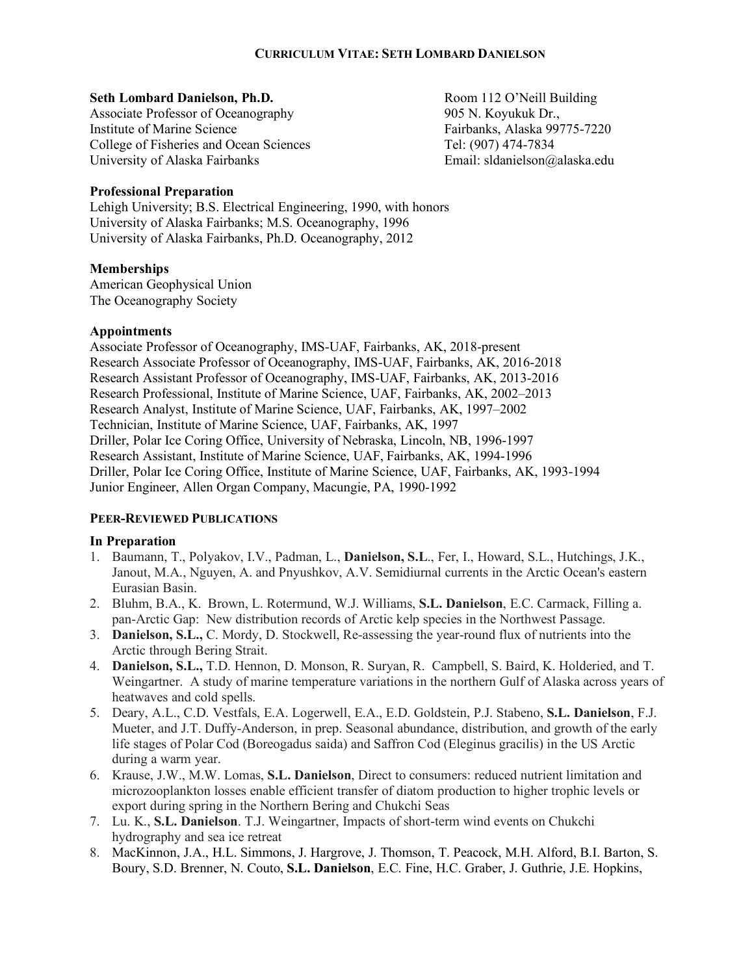### **Seth Lombard Danielson, Ph.D.** Room 112 O'Neill Building

Associate Professor of Oceanography 905 N. Koyukuk Dr., Institute of Marine Science Fairbanks, Alaska 99775-7220 College of Fisheries and Ocean Sciences Tel: (907) 474-7834 University of Alaska Fairbanks Email: sldanielson@alaska.edu

### **Professional Preparation**

Lehigh University; B.S. Electrical Engineering, 1990, with honors University of Alaska Fairbanks; M.S. Oceanography, 1996 University of Alaska Fairbanks, Ph.D. Oceanography, 2012

### **Memberships**

American Geophysical Union The Oceanography Society

## **Appointments**

Associate Professor of Oceanography, IMS-UAF, Fairbanks, AK, 2018-present Research Associate Professor of Oceanography, IMS-UAF, Fairbanks, AK, 2016-2018 Research Assistant Professor of Oceanography, IMS-UAF, Fairbanks, AK, 2013-2016 Research Professional, Institute of Marine Science, UAF, Fairbanks, AK, 2002–2013 Research Analyst, Institute of Marine Science, UAF, Fairbanks, AK, 1997–2002 Technician, Institute of Marine Science, UAF, Fairbanks, AK, 1997 Driller, Polar Ice Coring Office, University of Nebraska, Lincoln, NB, 1996-1997 Research Assistant, Institute of Marine Science, UAF, Fairbanks, AK, 1994-1996 Driller, Polar Ice Coring Office, Institute of Marine Science, UAF, Fairbanks, AK, 1993-1994 Junior Engineer, Allen Organ Company, Macungie, PA, 1990-1992

## **PEER-REVIEWED PUBLICATIONS**

### **In Preparation**

- 1. Baumann, T., Polyakov, I.V., Padman, L., **Danielson, S.L**., Fer, I., Howard, S.L., Hutchings, J.K., Janout, M.A., Nguyen, A. and Pnyushkov, A.V. Semidiurnal currents in the Arctic Ocean's eastern Eurasian Basin.
- 2. Bluhm, B.A., K. Brown, L. Rotermund, W.J. Williams, **S.L. Danielson**, E.C. Carmack, Filling a. pan-Arctic Gap: New distribution records of Arctic kelp species in the Northwest Passage.
- 3. **Danielson, S.L.,** C. Mordy, D. Stockwell, Re-assessing the year-round flux of nutrients into the Arctic through Bering Strait.
- 4. **Danielson, S.L.,** T.D. Hennon, D. Monson, R. Suryan, R. Campbell, S. Baird, K. Holderied, and T. Weingartner. A study of marine temperature variations in the northern Gulf of Alaska across years of heatwaves and cold spells.
- 5. Deary, A.L., C.D. Vestfals, E.A. Logerwell, E.A., E.D. Goldstein, P.J. Stabeno, **S.L. Danielson**, F.J. Mueter, and J.T. Duffy-Anderson, in prep. Seasonal abundance, distribution, and growth of the early life stages of Polar Cod (Boreogadus saida) and Saffron Cod (Eleginus gracilis) in the US Arctic during a warm year.
- 6. Krause, J.W., M.W. Lomas, **S.L. Danielson**, Direct to consumers: reduced nutrient limitation and microzooplankton losses enable efficient transfer of diatom production to higher trophic levels or export during spring in the Northern Bering and Chukchi Seas
- 7. Lu. K., **S.L. Danielson**. T.J. Weingartner, Impacts of short-term wind events on Chukchi hydrography and sea ice retreat
- 8. MacKinnon, J.A., H.L. Simmons, J. Hargrove, J. Thomson, T. Peacock, M.H. Alford, B.I. Barton, S. Boury, S.D. Brenner, N. Couto, **S.L. Danielson**, E.C. Fine, H.C. Graber, J. Guthrie, J.E. Hopkins,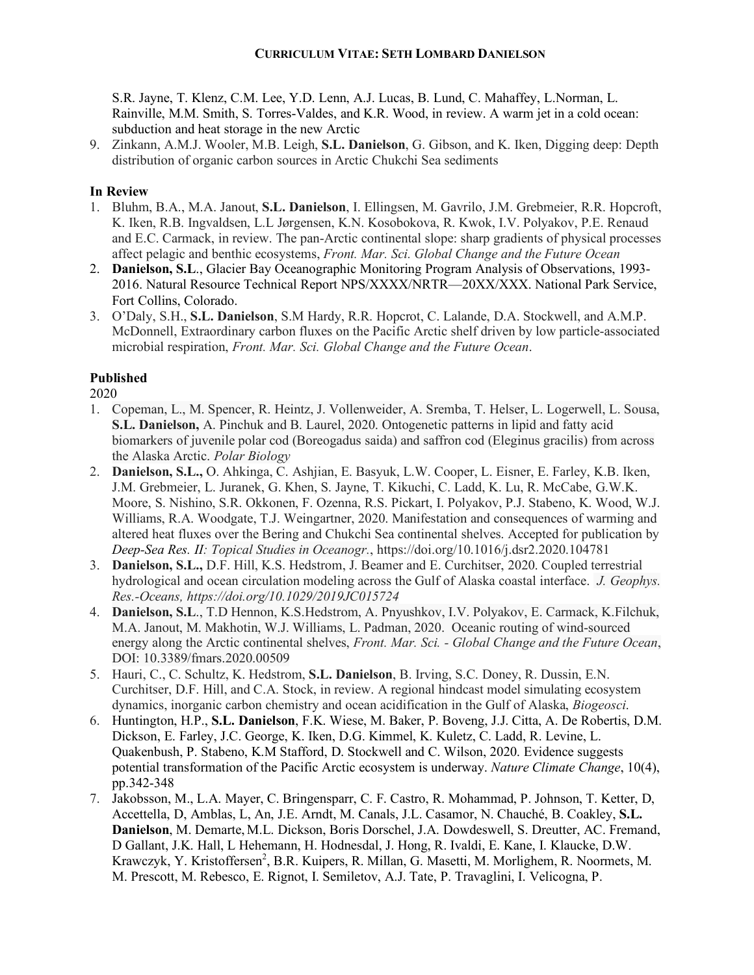S.R. Jayne, T. Klenz, C.M. Lee, Y.D. Lenn, A.J. Lucas, B. Lund, C. Mahaffey, L.Norman, L. Rainville, M.M. Smith, S. Torres-Valdes, and K.R. Wood, in review. A warm jet in a cold ocean: subduction and heat storage in the new Arctic

9. Zinkann, A.M.J. Wooler, M.B. Leigh, **S.L. Danielson**, G. Gibson, and K. Iken, Digging deep: Depth distribution of organic carbon sources in Arctic Chukchi Sea sediments

### **In Review**

- 1. Bluhm, B.A., M.A. Janout, **S.L. Danielson**, I. Ellingsen, M. Gavrilo, J.M. Grebmeier, R.R. Hopcroft, K. Iken, R.B. Ingvaldsen, L.L Jørgensen, K.N. Kosobokova, R. Kwok, I.V. Polyakov, P.E. Renaud and E.C. Carmack, in review. The pan-Arctic continental slope: sharp gradients of physical processes affect pelagic and benthic ecosystems, *Front. Mar. Sci. Global Change and the Future Ocean*
- 2. **Danielson, S.L**., Glacier Bay Oceanographic Monitoring Program Analysis of Observations, 1993- 2016. Natural Resource Technical Report NPS/XXXX/NRTR—20XX/XXX. National Park Service, Fort Collins, Colorado.
- 3. O'Daly, S.H., **S.L. Danielson**, S.M Hardy, R.R. Hopcrot, C. Lalande, D.A. Stockwell, and A.M.P. McDonnell, Extraordinary carbon fluxes on the Pacific Arctic shelf driven by low particle-associated microbial respiration, *Front. Mar. Sci. Global Change and the Future Ocean*.

### **Published**

- 1. Copeman, L., M. Spencer, R. Heintz, J. Vollenweider, A. Sremba, T. Helser, L. Logerwell, L. Sousa, **S.L. Danielson,** A. Pinchuk and B. Laurel, 2020. Ontogenetic patterns in lipid and fatty acid biomarkers of juvenile polar cod (Boreogadus saida) and saffron cod (Eleginus gracilis) from across the Alaska Arctic. *Polar Biology*
- 2. **Danielson, S.L.,** O. Ahkinga, C. Ashjian, E. Basyuk, L.W. Cooper, L. Eisner, E. Farley, K.B. Iken, J.M. Grebmeier, L. Juranek, G. Khen, S. Jayne, T. Kikuchi, C. Ladd, K. Lu, R. McCabe, G.W.K. Moore, S. Nishino, S.R. Okkonen, F. Ozenna, R.S. Pickart, I. Polyakov, P.J. Stabeno, K. Wood, W.J. Williams, R.A. Woodgate, T.J. Weingartner, 2020. Manifestation and consequences of warming and altered heat fluxes over the Bering and Chukchi Sea continental shelves. Accepted for publication by *Deep-Sea Res. II: Topical Studies in Oceanogr.*, https://doi.org/10.1016/j.dsr2.2020.104781
- 3. **Danielson, S.L.,** D.F. Hill, K.S. Hedstrom, J. Beamer and E. Curchitser, 2020. Coupled terrestrial hydrological and ocean circulation modeling across the Gulf of Alaska coastal interface. *J. Geophys. Res.-Oceans, https://doi.org/10.1029/2019JC015724*
- 4. **Danielson, S.L**., T.D Hennon, K.S.Hedstrom, A. Pnyushkov, I.V. Polyakov, E. Carmack, K.Filchuk, M.A. Janout, M. Makhotin, W.J. Williams, L. Padman, 2020. Oceanic routing of wind-sourced energy along the Arctic continental shelves, *Front. Mar. Sci. - Global Change and the Future Ocean*, DOI: 10.3389/fmars.2020.00509
- 5. Hauri, C., C. Schultz, K. Hedstrom, **S.L. Danielson**, B. Irving, S.C. Doney, R. Dussin, E.N. Curchitser, D.F. Hill, and C.A. Stock, in review. A regional hindcast model simulating ecosystem dynamics, inorganic carbon chemistry and ocean acidification in the Gulf of Alaska, *Biogeosci*.
- 6. Huntington, H.P., **S.L. Danielson**, F.K. Wiese, M. Baker, P. Boveng, J.J. Citta, A. De Robertis, D.M. Dickson, E. Farley, J.C. George, K. Iken, D.G. Kimmel, K. Kuletz, C. Ladd, R. Levine, L. Quakenbush, P. Stabeno, K.M Stafford, D. Stockwell and C. Wilson, 2020. Evidence suggests potential transformation of the Pacific Arctic ecosystem is underway. *Nature Climate Change*, 10(4), pp.342-348
- 7. Jakobsson, M., L.A. Mayer, C. Bringensparr, C. F. Castro, R. Mohammad, P. Johnson, T. Ketter, D, Accettella, D, Amblas, L, An, J.E. Arndt, M. Canals, J.L. Casamor, N. Chauché, B. Coakley, **S.L. Danielson**, M. Demarte, M.L. Dickson, Boris Dorschel, J.A. Dowdeswell, S. Dreutter, AC. Fremand, D Gallant, J.K. Hall, L Hehemann, H. Hodnesdal, J. Hong, R. Ivaldi, E. Kane, I. Klaucke, D.W. Krawczyk, Y. Kristoffersen<sup>2</sup>, B.R. Kuipers, R. Millan, G. Masetti, M. Morlighem, R. Noormets, M. M. Prescott, M. Rebesco, E. Rignot, I. Semiletov, A.J. Tate, P. Travaglini, I. Velicogna, P.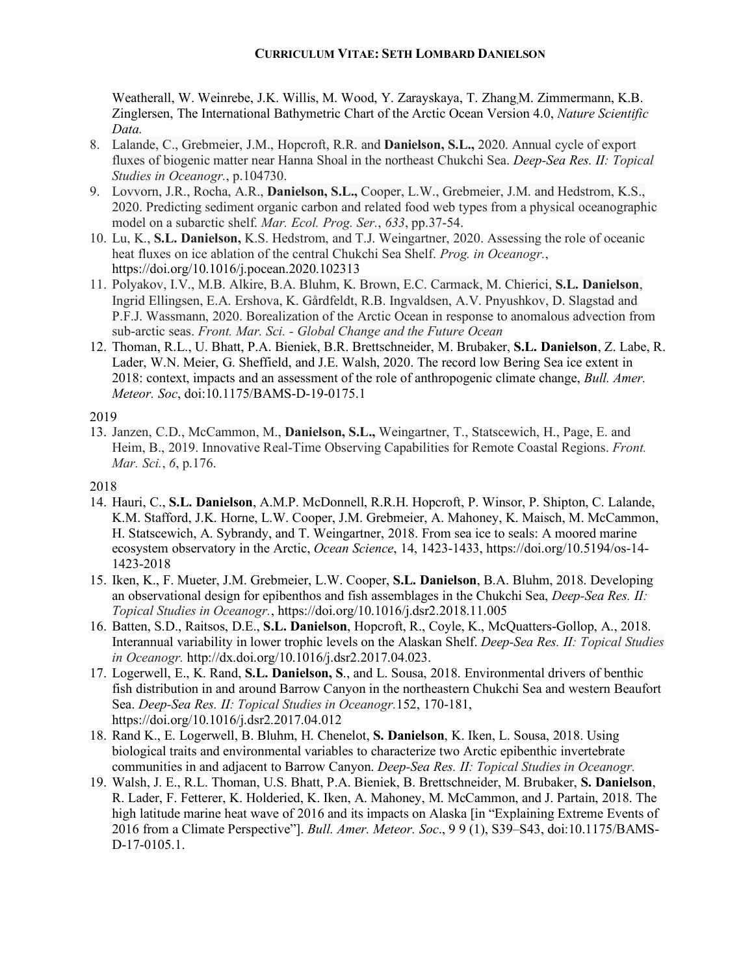Weatherall, W. Weinrebe, J.K. Willis, M. Wood, Y. Zarayskaya, T. Zhang,M. Zimmermann, K.B. Zinglersen, The International Bathymetric Chart of the Arctic Ocean Version 4.0, *Nature Scientific Data.*

- 8. Lalande, C., Grebmeier, J.M., Hopcroft, R.R. and **Danielson, S.L.,** 2020. Annual cycle of export fluxes of biogenic matter near Hanna Shoal in the northeast Chukchi Sea. *Deep-Sea Res. II: Topical Studies in Oceanogr.*, p.104730.
- 9. Lovvorn, J.R., Rocha, A.R., **Danielson, S.L.,** Cooper, L.W., Grebmeier, J.M. and Hedstrom, K.S., 2020. Predicting sediment organic carbon and related food web types from a physical oceanographic model on a subarctic shelf. *Mar. Ecol. Prog. Ser.*, *633*, pp.37-54.
- 10. Lu, K., **S.L. Danielson,** K.S. Hedstrom, and T.J. Weingartner, 2020. Assessing the role of oceanic heat fluxes on ice ablation of the central Chukchi Sea Shelf. *Prog. in Oceanogr.*, https://doi.org/10.1016/j.pocean.2020.102313
- 11. Polyakov, I.V., M.B. Alkire, B.A. Bluhm, K. Brown, E.C. Carmack, M. Chierici, **S.L. Danielson**, Ingrid Ellingsen, E.A. Ershova, K. Gårdfeldt, R.B. Ingvaldsen, A.V. Pnyushkov, D. Slagstad and P.F.J. Wassmann, 2020. Borealization of the Arctic Ocean in response to anomalous advection from sub-arctic seas. *Front. Mar. Sci. - Global Change and the Future Ocean*
- 12. Thoman, R.L., U. Bhatt, P.A. Bieniek, B.R. Brettschneider, M. Brubaker, **S.L. Danielson**, Z. Labe, R. Lader, W.N. Meier, G. Sheffield, and J.E. Walsh, 2020. The record low Bering Sea ice extent in 2018: context, impacts and an assessment of the role of anthropogenic climate change, *Bull. Amer. Meteor. Soc*, doi:10.1175/BAMS-D-19-0175.1

- 13. Janzen, C.D., McCammon, M., **Danielson, S.L.,** Weingartner, T., Statscewich, H., Page, E. and Heim, B., 2019. Innovative Real-Time Observing Capabilities for Remote Coastal Regions. *Front. Mar. Sci.*, *6*, p.176.
- 2018
- 14. Hauri, C., **S.L. Danielson**, A.M.P. McDonnell, R.R.H. Hopcroft, P. Winsor, P. Shipton, C. Lalande, K.M. Stafford, J.K. Horne, L.W. Cooper, J.M. Grebmeier, A. Mahoney, K. Maisch, M. McCammon, H. Statscewich, A. Sybrandy, and T. Weingartner, 2018. From sea ice to seals: A moored marine ecosystem observatory in the Arctic, *Ocean Science*, 14, 1423-1433, https://doi.org/10.5194/os-14- 1423-2018
- 15. Iken, K., F. Mueter, J.M. Grebmeier, L.W. Cooper, **S.L. Danielson**, B.A. Bluhm, 2018. Developing an observational design for epibenthos and fish assemblages in the Chukchi Sea, *Deep-Sea Res. II: Topical Studies in Oceanogr.*, https://doi.org/10.1016/j.dsr2.2018.11.005
- 16. Batten, S.D., Raitsos, D.E., **S.L. Danielson**, Hopcroft, R., Coyle, K., McQuatters-Gollop, A., 2018. Interannual variability in lower trophic levels on the Alaskan Shelf. *Deep-Sea Res. II: Topical Studies in Oceanogr.* http://dx.doi.org/10.1016/j.dsr2.2017.04.023.
- 17. Logerwell, E., K. Rand, **S.L. Danielson, S**., and L. Sousa, 2018. Environmental drivers of benthic fish distribution in and around Barrow Canyon in the northeastern Chukchi Sea and western Beaufort Sea. *Deep-Sea Res. II: Topical Studies in Oceanogr.*152, 170-181, https://doi.org/10.1016/j.dsr2.2017.04.012
- 18. Rand K., E. Logerwell, B. Bluhm, H. Chenelot, **S. Danielson**, K. Iken, L. Sousa, 2018. Using biological traits and environmental variables to characterize two Arctic epibenthic invertebrate communities in and adjacent to Barrow Canyon. *Deep-Sea Res. II: Topical Studies in Oceanogr.*
- 19. Walsh, J. E., R.L. Thoman, U.S. Bhatt, P.A. Bieniek, B. Brettschneider, M. Brubaker, **S. Danielson**, R. Lader, F. Fetterer, K. Holderied, K. Iken, A. Mahoney, M. McCammon, and J. Partain, 2018. The high latitude marine heat wave of 2016 and its impacts on Alaska [in "Explaining Extreme Events of 2016 from a Climate Perspective"]. *Bull. Amer. Meteor. Soc*., 9 9 (1), S39–S43, doi:10.1175/BAMS-D-17-0105.1.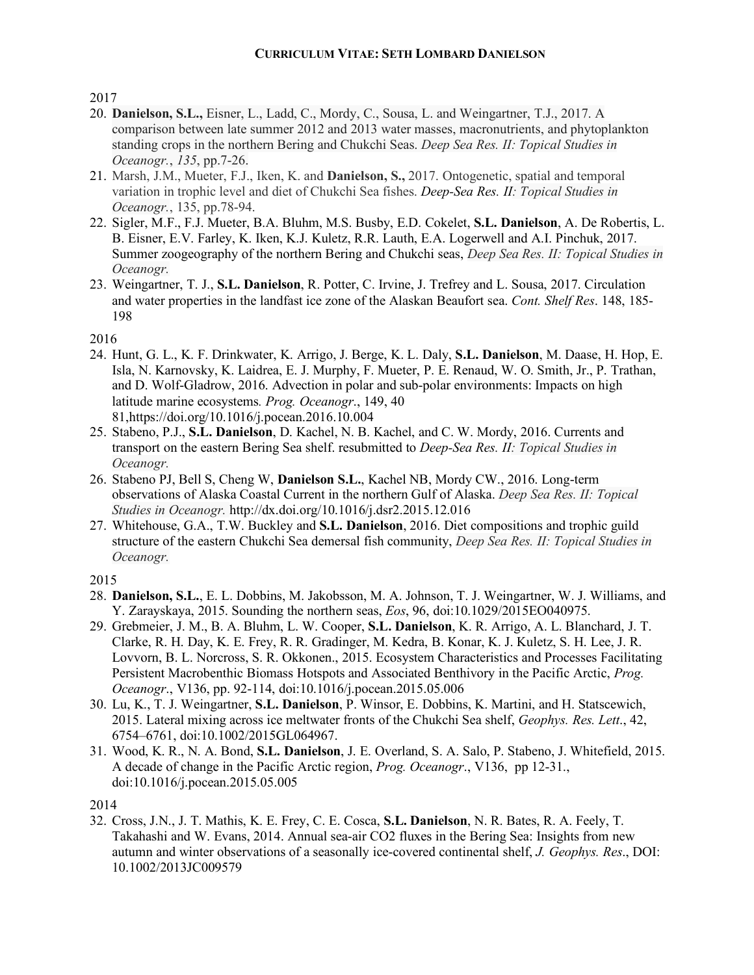2017

- 20. **Danielson, S.L.,** Eisner, L., Ladd, C., Mordy, C., Sousa, L. and Weingartner, T.J., 2017. A comparison between late summer 2012 and 2013 water masses, macronutrients, and phytoplankton standing crops in the northern Bering and Chukchi Seas. *Deep Sea Res. II: Topical Studies in Oceanogr.*, *135*, pp.7-26.
- 21. Marsh, J.M., Mueter, F.J., Iken, K. and **Danielson, S.,** 2017. Ontogenetic, spatial and temporal variation in trophic level and diet of Chukchi Sea fishes. *Deep-Sea Res. II: Topical Studies in Oceanogr.*, 135, pp.78-94.
- 22. Sigler, M.F., F.J. Mueter, B.A. Bluhm, M.S. Busby, E.D. Cokelet, **S.L. Danielson**, A. De Robertis, L. B. Eisner, E.V. Farley, K. Iken, K.J. Kuletz, R.R. Lauth, E.A. Logerwell and A.I. Pinchuk, 2017. Summer zoogeography of the northern Bering and Chukchi seas, *Deep Sea Res. II: Topical Studies in Oceanogr.*
- 23. Weingartner, T. J., **S.L. Danielson**, R. Potter, C. Irvine, J. Trefrey and L. Sousa, 2017. Circulation and water properties in the landfast ice zone of the Alaskan Beaufort sea. *Cont. Shelf Res*. 148, 185- 198

2016

- 24. Hunt, G. L., K. F. Drinkwater, K. Arrigo, J. Berge, K. L. Daly, **S.L. Danielson**, M. Daase, H. Hop, E. Isla, N. Karnovsky, K. Laidrea, E. J. Murphy, F. Mueter, P. E. Renaud, W. O. Smith, Jr., P. Trathan, and D. Wolf-Gladrow, 2016. Advection in polar and sub-polar environments: Impacts on high latitude marine ecosystems*. Prog. Oceanogr*., 149, 40 81,https://doi.org/10.1016/j.pocean.2016.10.004
- 25. Stabeno, P.J., **S.L. Danielson**, D. Kachel, N. B. Kachel, and C. W. Mordy, 2016. Currents and transport on the eastern Bering Sea shelf. resubmitted to *Deep-Sea Res. II: Topical Studies in Oceanogr.*
- 26. Stabeno PJ, Bell S, Cheng W, **Danielson S.L.**, Kachel NB, Mordy CW., 2016. Long-term observations of Alaska Coastal Current in the northern Gulf of Alaska. *Deep Sea Res. II: Topical Studies in Oceanogr.* http://dx.doi.org/10.1016/j.dsr2.2015.12.016
- 27. Whitehouse, G.A., T.W. Buckley and **S.L. Danielson**, 2016. Diet compositions and trophic guild structure of the eastern Chukchi Sea demersal fish community, *Deep Sea Res. II: Topical Studies in Oceanogr.*

2015

- 28. **Danielson, S.L.**, E. L. Dobbins, M. Jakobsson, M. A. Johnson, T. J. Weingartner, W. J. Williams, and Y. Zarayskaya, 2015. Sounding the northern seas, *Eos*, 96, doi:10.1029/2015EO040975.
- 29. Grebmeier, J. M., B. A. Bluhm, L. W. Cooper, **S.L. Danielson**, K. R. Arrigo, A. L. Blanchard, J. T. Clarke, R. H. Day, K. E. Frey, R. R. Gradinger, M. Kedra, B. Konar, K. J. Kuletz, S. H. Lee, J. R. Lovvorn, B. L. Norcross, S. R. Okkonen., 2015. Ecosystem Characteristics and Processes Facilitating Persistent Macrobenthic Biomass Hotspots and Associated Benthivory in the Pacific Arctic, *Prog. Oceanogr*., V136, pp. 92-114, doi:10.1016/j.pocean.2015.05.006
- 30. Lu, K., T. J. Weingartner, **S.L. Danielson**, P. Winsor, E. Dobbins, K. Martini, and H. Statscewich, 2015. Lateral mixing across ice meltwater fronts of the Chukchi Sea shelf, *Geophys. Res. Lett*., 42, 6754–6761, doi:10.1002/2015GL064967.
- 31. Wood, K. R., N. A. Bond, **S.L. Danielson**, J. E. Overland, S. A. Salo, P. Stabeno, J. Whitefield, 2015. A decade of change in the Pacific Arctic region, *Prog. Oceanogr*., V136, pp 12-31., doi:10.1016/j.pocean.2015.05.005

2014

32. Cross, J.N., J. T. Mathis, K. E. Frey, C. E. Cosca, **S.L. Danielson**, N. R. Bates, R. A. Feely, T. Takahashi and W. Evans, 2014. Annual sea-air CO2 fluxes in the Bering Sea: Insights from new autumn and winter observations of a seasonally ice-covered continental shelf, *J. Geophys. Res*., DOI: 10.1002/2013JC009579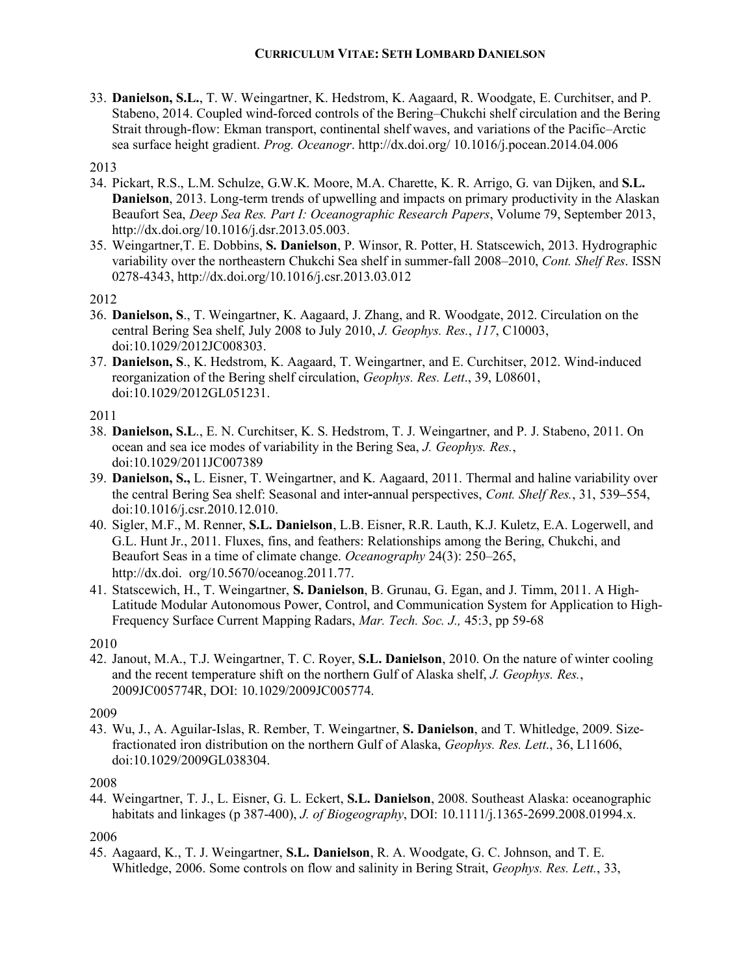- 33. **Danielson, S.L.**, T. W. Weingartner, K. Hedstrom, K. Aagaard, R. Woodgate, E. Curchitser, and P. Stabeno, 2014. Coupled wind-forced controls of the Bering–Chukchi shelf circulation and the Bering Strait through-flow: Ekman transport, continental shelf waves, and variations of the Pacific–Arctic sea surface height gradient. *Prog. Oceanogr*. http://dx.doi.org/ 10.1016/j.pocean.2014.04.006
- 2013
- 34. Pickart, R.S., L.M. Schulze, G.W.K. Moore, M.A. Charette, K. R. Arrigo, G. van Dijken, and **S.L. Danielson**, 2013. Long-term trends of upwelling and impacts on primary productivity in the Alaskan Beaufort Sea, *Deep Sea Res. Part I: Oceanographic Research Papers*, Volume 79, September 2013, http://dx.doi.org/10.1016/j.dsr.2013.05.003.
- 35. Weingartner,T. E. Dobbins, **S. Danielson**, P. Winsor, R. Potter, H. Statscewich, 2013. Hydrographic variability over the northeastern Chukchi Sea shelf in summer-fall 2008–2010, *Cont. Shelf Res*. ISSN 0278-4343, http://dx.doi.org/10.1016/j.csr.2013.03.012
- 2012
- 36. **Danielson, S**., T. Weingartner, K. Aagaard, J. Zhang, and R. Woodgate, 2012. Circulation on the central Bering Sea shelf, July 2008 to July 2010, *J. Geophys. Res.*, *117*, C10003, doi:10.1029/2012JC008303.
- 37. **Danielson, S**., K. Hedstrom, K. Aagaard, T. Weingartner, and E. Curchitser, 2012. Wind-induced reorganization of the Bering shelf circulation, *Geophys. Res. Lett*., 39, L08601, doi:10.1029/2012GL051231.

### 2011

- 38. **Danielson, S.L**., E. N. Curchitser, K. S. Hedstrom, T. J. Weingartner, and P. J. Stabeno, 2011. On ocean and sea ice modes of variability in the Bering Sea, *J. Geophys. Res.*, doi:10.1029/2011JC007389
- 39. **Danielson, S.,** L. Eisner, T. Weingartner, and K. Aagaard, 2011. Thermal and haline variability over the central Bering Sea shelf: Seasonal and inter-annual perspectives, *Cont. Shelf Res.*, 31, 539**–**554, doi:10.1016/j.csr.2010.12.010.
- 40. Sigler, M.F., M. Renner, **S.L. Danielson**, L.B. Eisner, R.R. Lauth, K.J. Kuletz, E.A. Logerwell, and G.L. Hunt Jr., 2011. Fluxes, fins, and feathers: Relationships among the Bering, Chukchi, and Beaufort Seas in a time of climate change. *Oceanography* 24(3): 250–265, http://dx.doi. org/10.5670/oceanog.2011.77.
- 41. Statscewich, H., T. Weingartner, **S. Danielson**, B. Grunau, G. Egan, and J. Timm, 2011. A High-Latitude Modular Autonomous Power, Control, and Communication System for Application to High-Frequency Surface Current Mapping Radars, *Mar. Tech. Soc. J.,* 45:3, pp 59-68

2010

42. Janout, M.A., T.J. Weingartner, T. C. Royer, **S.L. Danielson**, 2010. On the nature of winter cooling and the recent temperature shift on the northern Gulf of Alaska shelf, *J. Geophys. Res.*, 2009JC005774R, DOI: 10.1029/2009JC005774.

2009

43. Wu, J., A. Aguilar-Islas, R. Rember, T. Weingartner, **S. Danielson**, and T. Whitledge, 2009. Sizefractionated iron distribution on the northern Gulf of Alaska, *Geophys. Res. Lett*., 36, L11606, doi:10.1029/2009GL038304.

## 2008

44. Weingartner, T. J., L. Eisner, G. L. Eckert, **S.L. Danielson**, 2008. Southeast Alaska: oceanographic habitats and linkages (p 387-400), *J. of Biogeography*, DOI: 10.1111/j.1365-2699.2008.01994.x.

2006

45. Aagaard, K., T. J. Weingartner, **S.L. Danielson**, R. A. Woodgate, G. C. Johnson, and T. E. Whitledge, 2006. Some controls on flow and salinity in Bering Strait, *Geophys. Res. Lett.*, 33,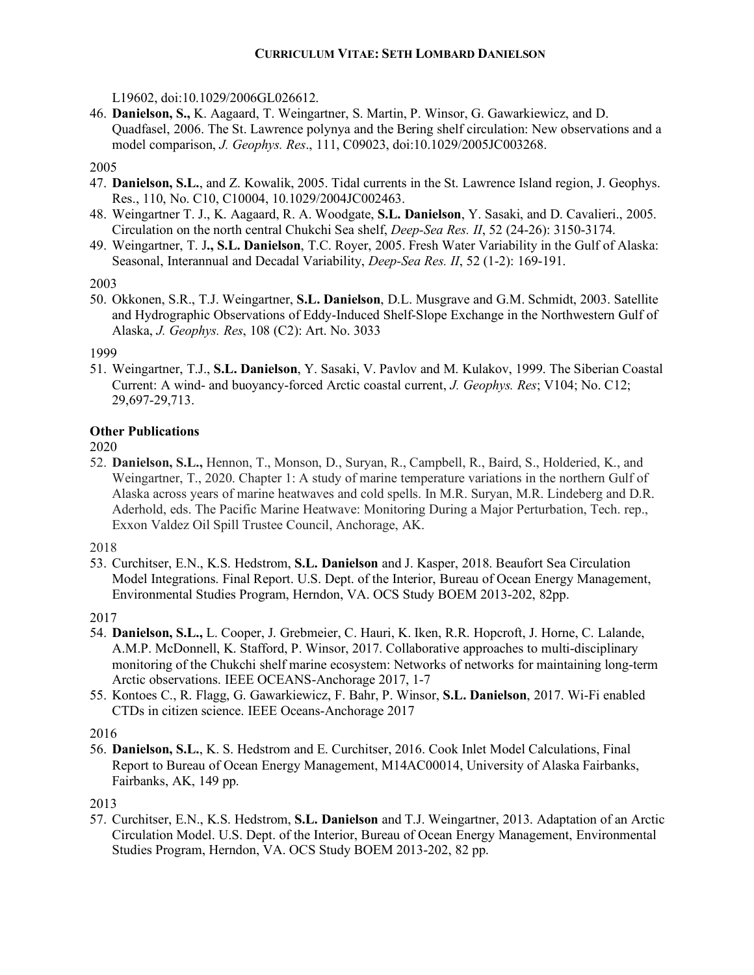L19602, doi:10.1029/2006GL026612.

46. **Danielson, S.,** K. Aagaard, T. Weingartner, S. Martin, P. Winsor, G. Gawarkiewicz, and D. Quadfasel, 2006. The St. Lawrence polynya and the Bering shelf circulation: New observations and a model comparison, *J. Geophys. Res*., 111, C09023, doi:10.1029/2005JC003268.

## 2005

- 47. **Danielson, S.L.**, and Z. Kowalik, 2005. Tidal currents in the St. Lawrence Island region, J. Geophys. Res., 110, No. C10, C10004, 10.1029/2004JC002463.
- 48. Weingartner T. J., K. Aagaard, R. A. Woodgate, **S.L. Danielson**, Y. Sasaki, and D. Cavalieri., 2005. Circulation on the north central Chukchi Sea shelf, *Deep-Sea Res. II*, 52 (24-26): 3150-3174.
- 49. Weingartner, T. J**., S.L. Danielson**, T.C. Royer, 2005. Fresh Water Variability in the Gulf of Alaska: Seasonal, Interannual and Decadal Variability, *Deep-Sea Res. II*, 52 (1-2): 169-191.

2003

50. Okkonen, S.R., T.J. Weingartner, **S.L. Danielson**, D.L. Musgrave and G.M. Schmidt, 2003. Satellite and Hydrographic Observations of Eddy-Induced Shelf-Slope Exchange in the Northwestern Gulf of Alaska, *J. Geophys. Res*, 108 (C2): Art. No. 3033

# 1999

51. Weingartner, T.J., **S.L. Danielson**, Y. Sasaki, V. Pavlov and M. Kulakov, 1999. The Siberian Coastal Current: A wind- and buoyancy-forced Arctic coastal current, *J. Geophys. Res*; V104; No. C12; 29,697-29,713.

# **Other Publications**

2020

52. **Danielson, S.L.,** Hennon, T., Monson, D., Suryan, R., Campbell, R., Baird, S., Holderied, K., and Weingartner, T., 2020. Chapter 1: A study of marine temperature variations in the northern Gulf of Alaska across years of marine heatwaves and cold spells. In M.R. Suryan, M.R. Lindeberg and D.R. Aderhold, eds. The Pacific Marine Heatwave: Monitoring During a Major Perturbation, Tech. rep., Exxon Valdez Oil Spill Trustee Council, Anchorage, AK.

2018

53. Curchitser, E.N., K.S. Hedstrom, **S.L. Danielson** and J. Kasper, 2018. Beaufort Sea Circulation Model Integrations. Final Report. U.S. Dept. of the Interior, Bureau of Ocean Energy Management, Environmental Studies Program, Herndon, VA. OCS Study BOEM 2013-202, 82pp.

2017

- 54. **Danielson, S.L.,** L. Cooper, J. Grebmeier, C. Hauri, K. Iken, R.R. Hopcroft, J. Horne, C. Lalande, A.M.P. McDonnell, K. Stafford, P. Winsor, 2017. Collaborative approaches to multi-disciplinary monitoring of the Chukchi shelf marine ecosystem: Networks of networks for maintaining long-term Arctic observations. IEEE OCEANS-Anchorage 2017, 1-7
- 55. Kontoes C., R. Flagg, G. Gawarkiewicz, F. Bahr, P. Winsor, **S.L. Danielson**, 2017. Wi-Fi enabled CTDs in citizen science. IEEE Oceans-Anchorage 2017

2016

56. **Danielson, S.L.**, K. S. Hedstrom and E. Curchitser, 2016. Cook Inlet Model Calculations, Final Report to Bureau of Ocean Energy Management, M14AC00014, University of Alaska Fairbanks, Fairbanks, AK, 149 pp.

2013

57. Curchitser, E.N., K.S. Hedstrom, **S.L. Danielson** and T.J. Weingartner, 2013. Adaptation of an Arctic Circulation Model. U.S. Dept. of the Interior, Bureau of Ocean Energy Management, Environmental Studies Program, Herndon, VA. OCS Study BOEM 2013-202, 82 pp.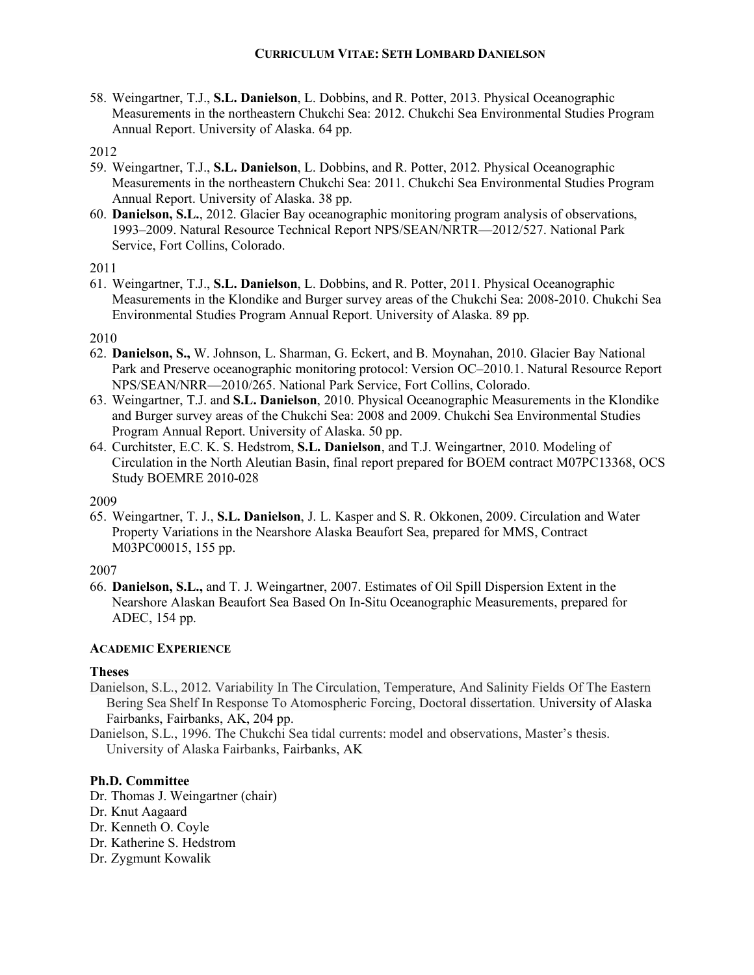- 58. Weingartner, T.J., **S.L. Danielson**, L. Dobbins, and R. Potter, 2013. Physical Oceanographic Measurements in the northeastern Chukchi Sea: 2012. Chukchi Sea Environmental Studies Program Annual Report. University of Alaska. 64 pp.
- 2012
- 59. Weingartner, T.J., **S.L. Danielson**, L. Dobbins, and R. Potter, 2012. Physical Oceanographic Measurements in the northeastern Chukchi Sea: 2011. Chukchi Sea Environmental Studies Program Annual Report. University of Alaska. 38 pp.
- 60. **Danielson, S.L.**, 2012. Glacier Bay oceanographic monitoring program analysis of observations, 1993–2009. Natural Resource Technical Report NPS/SEAN/NRTR—2012/527. National Park Service, Fort Collins, Colorado.

2011

61. Weingartner, T.J., **S.L. Danielson**, L. Dobbins, and R. Potter, 2011. Physical Oceanographic Measurements in the Klondike and Burger survey areas of the Chukchi Sea: 2008-2010. Chukchi Sea Environmental Studies Program Annual Report. University of Alaska. 89 pp.

### 2010

- 62. **Danielson, S.,** W. Johnson, L. Sharman, G. Eckert, and B. Moynahan, 2010. Glacier Bay National Park and Preserve oceanographic monitoring protocol: Version OC–2010.1. Natural Resource Report NPS/SEAN/NRR—2010/265. National Park Service, Fort Collins, Colorado.
- 63. Weingartner, T.J. and **S.L. Danielson**, 2010. Physical Oceanographic Measurements in the Klondike and Burger survey areas of the Chukchi Sea: 2008 and 2009. Chukchi Sea Environmental Studies Program Annual Report. University of Alaska. 50 pp.
- 64. Curchitster, E.C. K. S. Hedstrom, **S.L. Danielson**, and T.J. Weingartner, 2010. Modeling of Circulation in the North Aleutian Basin, final report prepared for BOEM contract M07PC13368, OCS Study BOEMRE 2010-028

### 2009

65. Weingartner, T. J., **S.L. Danielson**, J. L. Kasper and S. R. Okkonen, 2009. Circulation and Water Property Variations in the Nearshore Alaska Beaufort Sea, prepared for MMS, Contract M03PC00015, 155 pp.

### 2007

66. **Danielson, S.L.,** and T. J. Weingartner, 2007. Estimates of Oil Spill Dispersion Extent in the Nearshore Alaskan Beaufort Sea Based On In-Situ Oceanographic Measurements, prepared for ADEC, 154 pp.

## **ACADEMIC EXPERIENCE**

## **Theses**

- Danielson, S.L., 2012. Variability In The Circulation, Temperature, And Salinity Fields Of The Eastern Bering Sea Shelf In Response To Atomospheric Forcing, Doctoral dissertation. University of Alaska Fairbanks, Fairbanks, AK, 204 pp.
- Danielson, S.L., 1996. The Chukchi Sea tidal currents: model and observations, Master's thesis. University of Alaska Fairbanks, Fairbanks, AK

## **Ph.D. Committee**

Dr. Thomas J. Weingartner (chair)

- Dr. Knut Aagaard
- Dr. Kenneth O. Coyle
- Dr. Katherine S. Hedstrom
- Dr. Zygmunt Kowalik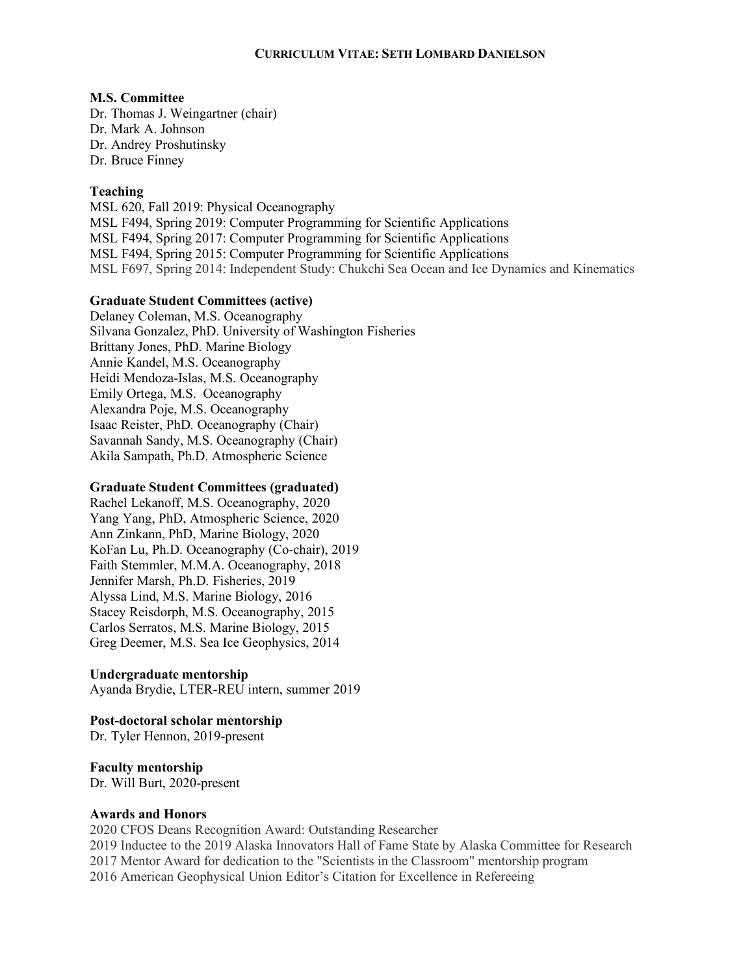#### **M.S. Committee**

Dr. Thomas J. Weingartner (chair) Dr. Mark A. Johnson Dr. Andrey Proshutinsky Dr. Bruce Finney

#### **Teaching**

MSL 620, Fall 2019: Physical Oceanography MSL F494, Spring 2019: Computer Programming for Scientific Applications MSL F494, Spring 2017: Computer Programming for Scientific Applications MSL F494, Spring 2015: Computer Programming for Scientific Applications MSL F697, Spring 2014: Independent Study: Chukchi Sea Ocean and Ice Dynamics and Kinematics

### **Graduate Student Committees (active)**

Delaney Coleman, M.S. Oceanography Silvana Gonzalez, PhD. University of Washington Fisheries Brittany Jones, PhD. Marine Biology Annie Kandel, M.S. Oceanography Heidi Mendoza-Islas, M.S. Oceanography Emily Ortega, M.S. Oceanography Alexandra Poje, M.S. Oceanography Isaac Reister, PhD. Oceanography (Chair) Savannah Sandy, M.S. Oceanography (Chair) Akila Sampath, Ph.D. Atmospheric Science

#### **Graduate Student Committees (graduated)**

Rachel Lekanoff, M.S. Oceanography, 2020 Yang Yang, PhD, Atmospheric Science, 2020 Ann Zinkann, PhD, Marine Biology, 2020 KoFan Lu, Ph.D. Oceanography (Co-chair), 2019 Faith Stemmler, M.M.A. Oceanography, 2018 Jennifer Marsh, Ph.D. Fisheries, 2019 Alyssa Lind, M.S. Marine Biology, 2016 Stacey Reisdorph, M.S. Oceanography, 2015 Carlos Serratos, M.S. Marine Biology, 2015 Greg Deemer, M.S. Sea Ice Geophysics, 2014

#### **Undergraduate mentorship**

Ayanda Brydie, LTER-REU intern, summer 2019

### **Post-doctoral scholar mentorship**

Dr. Tyler Hennon, 2019-present

#### **Faculty mentorship**

Dr. Will Burt, 2020-present

### **Awards and Honors**

2020 CFOS Deans Recognition Award: Outstanding Researcher 2019 Inductee to the 2019 Alaska Innovators Hall of Fame State by Alaska Committee for Research 2017 Mentor Award for dedication to the "Scientists in the Classroom" mentorship program 2016 American Geophysical Union Editor's Citation for Excellence in Refereeing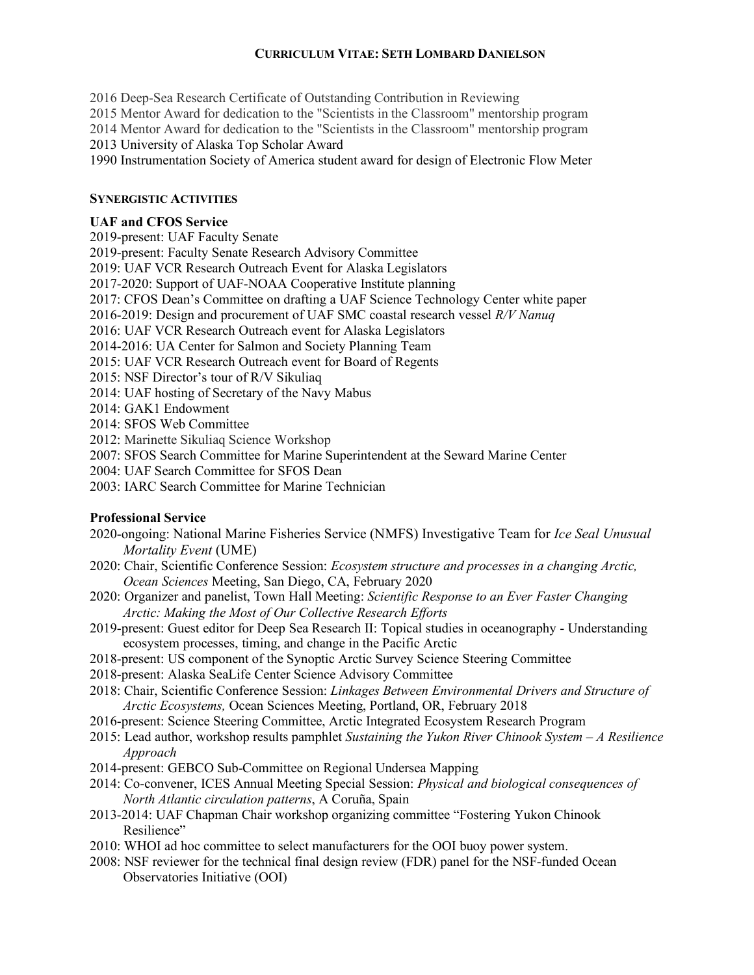2016 Deep-Sea Research Certificate of Outstanding Contribution in Reviewing

2015 Mentor Award for dedication to the "Scientists in the Classroom" mentorship program

2014 Mentor Award for dedication to the "Scientists in the Classroom" mentorship program

2013 University of Alaska Top Scholar Award

1990 Instrumentation Society of America student award for design of Electronic Flow Meter

### **SYNERGISTIC ACTIVITIES**

### **UAF and CFOS Service**

2019-present: UAF Faculty Senate

2019-present: Faculty Senate Research Advisory Committee

2019: UAF VCR Research Outreach Event for Alaska Legislators

2017-2020: Support of UAF-NOAA Cooperative Institute planning

2017: CFOS Dean's Committee on drafting a UAF Science Technology Center white paper

2016-2019: Design and procurement of UAF SMC coastal research vessel *R/V Nanuq*

2016: UAF VCR Research Outreach event for Alaska Legislators

2014-2016: UA Center for Salmon and Society Planning Team

2015: UAF VCR Research Outreach event for Board of Regents

2015: NSF Director's tour of R/V Sikuliaq

2014: UAF hosting of Secretary of the Navy Mabus

2014: GAK1 Endowment

2014: SFOS Web Committee

2012: Marinette Sikuliaq Science Workshop

2007: SFOS Search Committee for Marine Superintendent at the Seward Marine Center

2004: UAF Search Committee for SFOS Dean

2003: IARC Search Committee for Marine Technician

## **Professional Service**

2020-ongoing: National Marine Fisheries Service (NMFS) Investigative Team for *Ice Seal Unusual Mortality Event* (UME)

2020: Chair, Scientific Conference Session: *Ecosystem structure and processes in a changing Arctic, Ocean Sciences* Meeting, San Diego, CA, February 2020

- 2020: Organizer and panelist, Town Hall Meeting: *Scientific Response to an Ever Faster Changing Arctic: Making the Most of Our Collective Research Efforts*
- 2019-present: Guest editor for Deep Sea Research II: Topical studies in oceanography Understanding ecosystem processes, timing, and change in the Pacific Arctic
- 2018-present: US component of the Synoptic Arctic Survey Science Steering Committee
- 2018-present: Alaska SeaLife Center Science Advisory Committee
- 2018: Chair, Scientific Conference Session: *Linkages Between Environmental Drivers and Structure of Arctic Ecosystems,* Ocean Sciences Meeting, Portland, OR, February 2018
- 2016-present: Science Steering Committee, Arctic Integrated Ecosystem Research Program
- 2015: Lead author, workshop results pamphlet *Sustaining the Yukon River Chinook System – A Resilience Approach*
- 2014-present: GEBCO Sub-Committee on Regional Undersea Mapping
- 2014: Co-convener, ICES Annual Meeting Special Session: *Physical and biological consequences of North Atlantic circulation patterns*, A Coruña, Spain
- 2013-2014: UAF Chapman Chair workshop organizing committee "Fostering Yukon Chinook Resilience"
- 2010: WHOI ad hoc committee to select manufacturers for the OOI buoy power system.
- 2008: NSF reviewer for the technical final design review (FDR) panel for the NSF-funded Ocean Observatories Initiative (OOI)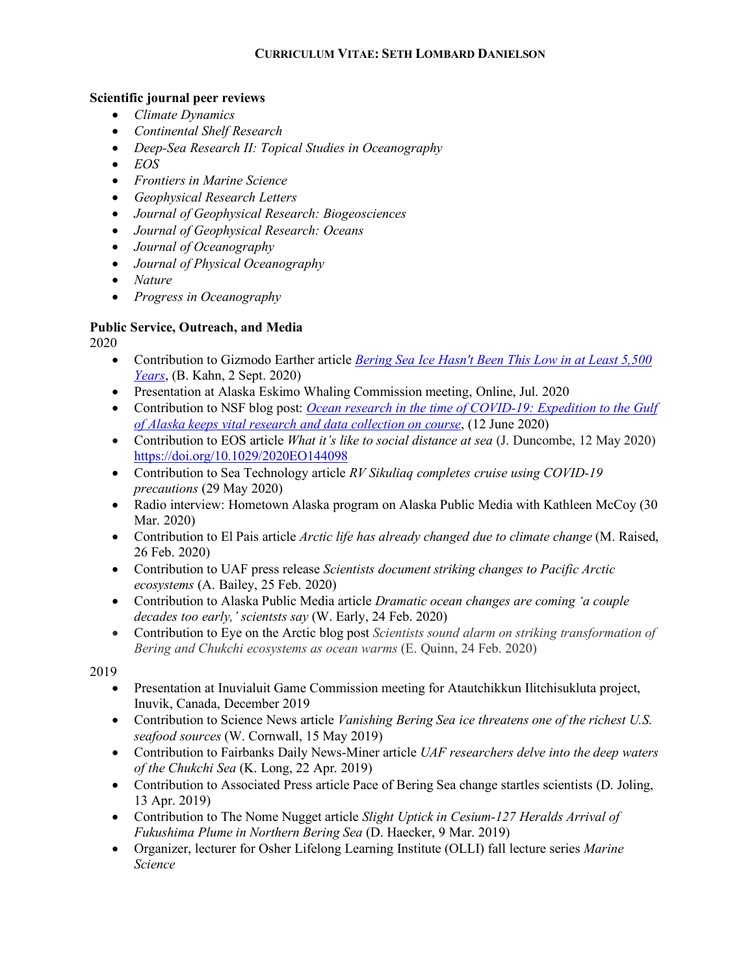### **Scientific journal peer reviews**

- *Climate Dynamics*
- *Continental Shelf Research*
- *Deep-Sea Research II: Topical Studies in Oceanography*
- *EOS*
- *Frontiers in Marine Science*
- *Geophysical Research Letters*
- *Journal of Geophysical Research: Biogeosciences*
- *Journal of Geophysical Research: Oceans*
- *Journal of Oceanography*
- *Journal of Physical Oceanography*
- *Nature*
- *Progress in Oceanography*

# **Public Service, Outreach, and Media**

2020

- Contribution to Gizmodo Earther article *Bering Sea Ice Hasn't Been This Low in at Least 5,500 Years*, (B. Kahn, 2 Sept. 2020)
- Presentation at Alaska Eskimo Whaling Commission meeting, Online, Jul. 2020
- Contribution to NSF blog post: *Ocean research in the time of COVID-19: Expedition to the Gulf of Alaska keeps vital research and data collection on course*, (12 June 2020)
- Contribution to EOS article *What it's like to social distance at sea* (J. Duncombe, 12 May 2020) https://doi.org/10.1029/2020EO144098
- Contribution to Sea Technology article *RV Sikuliaq completes cruise using COVID-19 precautions* (29 May 2020)
- Radio interview: Hometown Alaska program on Alaska Public Media with Kathleen McCoy (30) Mar. 2020)
- Contribution to El Pais article *Arctic life has already changed due to climate change* (M. Raised, 26 Feb. 2020)
- Contribution to UAF press release *Scientists document striking changes to Pacific Arctic ecosystems* (A. Bailey, 25 Feb. 2020)
- Contribution to Alaska Public Media article *Dramatic ocean changes are coming 'a couple decades too early,' scientsts say* (W. Early, 24 Feb. 2020)
- Contribution to Eye on the Arctic blog post *Scientists sound alarm on striking transformation of Bering and Chukchi ecosystems as ocean warms* (E. Quinn, 24 Feb. 2020)

- Presentation at Inuvialuit Game Commission meeting for Atautchikkun Ilitchisukluta project, Inuvik, Canada, December 2019
- Contribution to Science News article *Vanishing Bering Sea ice threatens one of the richest U.S. seafood sources* (W. Cornwall, 15 May 2019)
- Contribution to Fairbanks Daily News-Miner article *UAF researchers delve into the deep waters of the Chukchi Sea* (K. Long, 22 Apr. 2019)
- Contribution to Associated Press article Pace of Bering Sea change startles scientists (D. Joling, 13 Apr. 2019)
- Contribution to The Nome Nugget article *Slight Uptick in Cesium-127 Heralds Arrival of Fukushima Plume in Northern Bering Sea* (D. Haecker, 9 Mar. 2019)
- Organizer, lecturer for Osher Lifelong Learning Institute (OLLI) fall lecture series *Marine Science*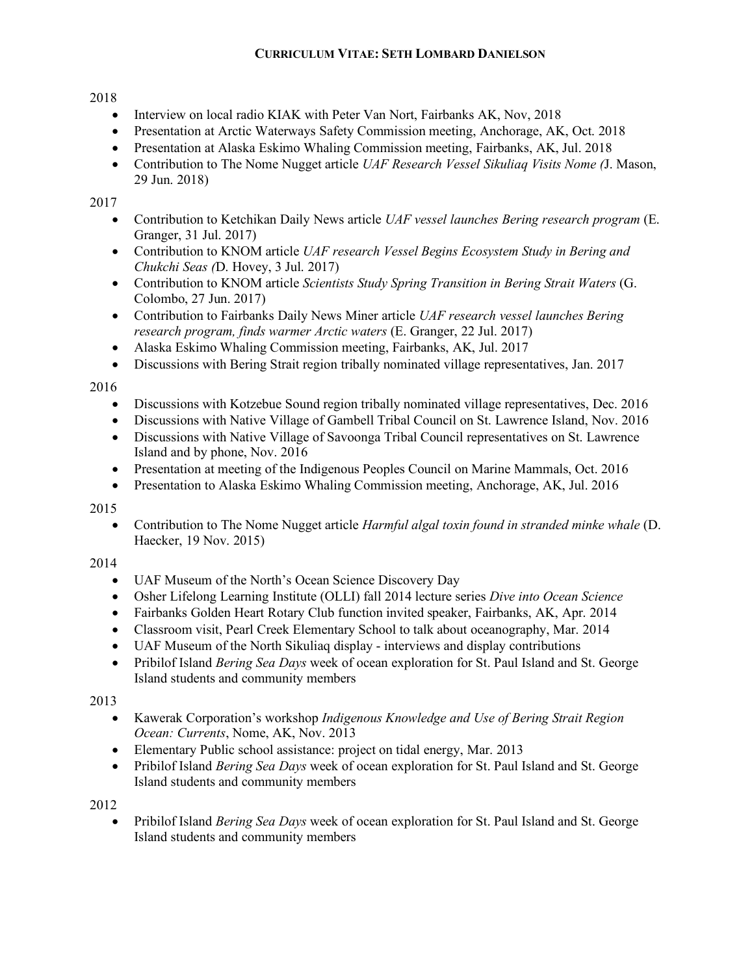### 2018

- Interview on local radio KIAK with Peter Van Nort, Fairbanks AK, Nov, 2018
- Presentation at Arctic Waterways Safety Commission meeting, Anchorage, AK, Oct. 2018
- Presentation at Alaska Eskimo Whaling Commission meeting, Fairbanks, AK, Jul. 2018
- Contribution to The Nome Nugget article *UAF Research Vessel Sikuliaq Visits Nome (*J. Mason, 29 Jun. 2018)

2017

- Contribution to Ketchikan Daily News article *UAF vessel launches Bering research program* (E. Granger, 31 Jul. 2017)
- Contribution to KNOM article *UAF research Vessel Begins Ecosystem Study in Bering and Chukchi Seas (*D. Hovey, 3 Jul. 2017)
- Contribution to KNOM article *Scientists Study Spring Transition in Bering Strait Waters* (G. Colombo, 27 Jun. 2017)
- Contribution to Fairbanks Daily News Miner article *UAF research vessel launches Bering research program, finds warmer Arctic waters* (E. Granger, 22 Jul. 2017)
- Alaska Eskimo Whaling Commission meeting, Fairbanks, AK, Jul. 2017
- Discussions with Bering Strait region tribally nominated village representatives, Jan. 2017

2016

- Discussions with Kotzebue Sound region tribally nominated village representatives, Dec. 2016
- Discussions with Native Village of Gambell Tribal Council on St. Lawrence Island, Nov. 2016
- Discussions with Native Village of Savoonga Tribal Council representatives on St. Lawrence Island and by phone, Nov. 2016
- Presentation at meeting of the Indigenous Peoples Council on Marine Mammals, Oct. 2016
- Presentation to Alaska Eskimo Whaling Commission meeting, Anchorage, AK, Jul. 2016

2015

• Contribution to The Nome Nugget article *Harmful algal toxin found in stranded minke whale* (D. Haecker, 19 Nov. 2015)

## 2014

- UAF Museum of the North's Ocean Science Discovery Day
- Osher Lifelong Learning Institute (OLLI) fall 2014 lecture series *Dive into Ocean Science*
- Fairbanks Golden Heart Rotary Club function invited speaker, Fairbanks, AK, Apr. 2014
- Classroom visit, Pearl Creek Elementary School to talk about oceanography, Mar. 2014
- UAF Museum of the North Sikuliaq display interviews and display contributions
- Pribilof Island *Bering Sea Days* week of ocean exploration for St. Paul Island and St. George Island students and community members

2013

- Kawerak Corporation's workshop *Indigenous Knowledge and Use of Bering Strait Region Ocean: Currents*, Nome, AK, Nov. 2013
- Elementary Public school assistance: project on tidal energy, Mar. 2013
- Pribilof Island *Bering Sea Days* week of ocean exploration for St. Paul Island and St. George Island students and community members

2012

• Pribilof Island *Bering Sea Days* week of ocean exploration for St. Paul Island and St. George Island students and community members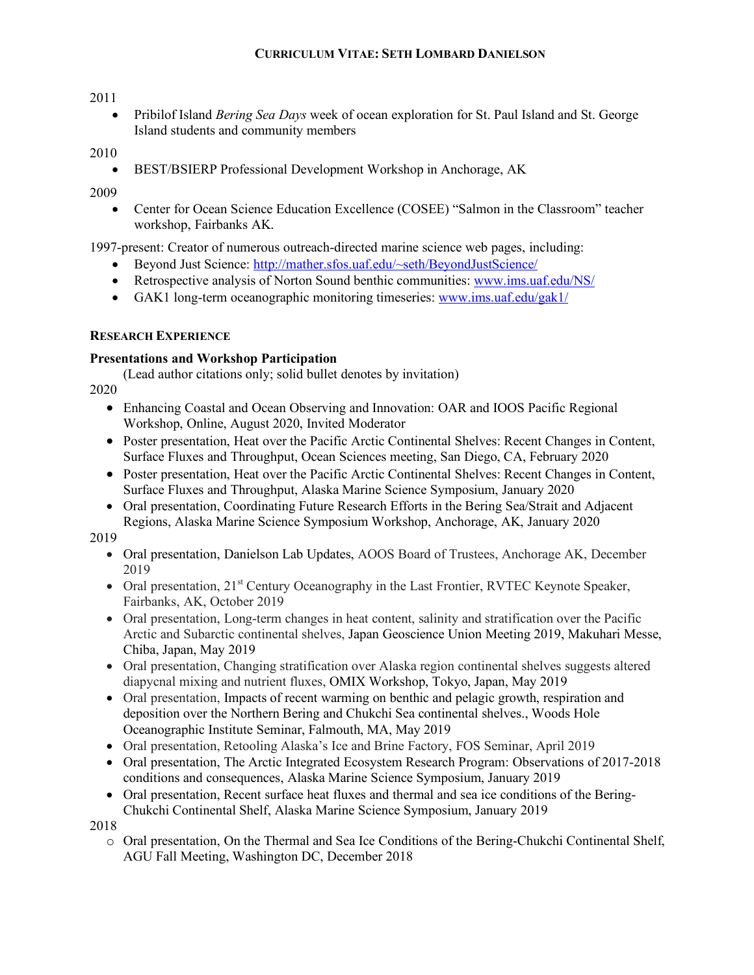2011

• Pribilof Island *Bering Sea Days* week of ocean exploration for St. Paul Island and St. George Island students and community members

2010

• BEST/BSIERP Professional Development Workshop in Anchorage, AK

2009

• Center for Ocean Science Education Excellence (COSEE) "Salmon in the Classroom" teacher workshop, Fairbanks AK.

1997-present: Creator of numerous outreach-directed marine science web pages, including:

- Beyond Just Science: http://mather.sfos.uaf.edu/~seth/BeyondJustScience/
- Retrospective analysis of Norton Sound benthic communities: www.ims.uaf.edu/NS/
- GAK1 long-term oceanographic monitoring timeseries: www.ims.uaf.edu/gak1/

### **RESEARCH EXPERIENCE**

### **Presentations and Workshop Participation**

(Lead author citations only; solid bullet denotes by invitation)

2020

- Enhancing Coastal and Ocean Observing and Innovation: OAR and IOOS Pacific Regional Workshop, Online, August 2020, Invited Moderator
- Poster presentation, Heat over the Pacific Arctic Continental Shelves: Recent Changes in Content, Surface Fluxes and Throughput, Ocean Sciences meeting, San Diego, CA, February 2020
- Poster presentation, Heat over the Pacific Arctic Continental Shelves: Recent Changes in Content, Surface Fluxes and Throughput, Alaska Marine Science Symposium, January 2020
- Oral presentation, Coordinating Future Research Efforts in the Bering Sea/Strait and Adjacent Regions, Alaska Marine Science Symposium Workshop, Anchorage, AK, January 2020

2019

- Oral presentation, Danielson Lab Updates, AOOS Board of Trustees, Anchorage AK, December 2019
- Oral presentation,  $21<sup>st</sup>$  Century Oceanography in the Last Frontier, RVTEC Keynote Speaker, Fairbanks, AK, October 2019
- Oral presentation, Long-term changes in heat content, salinity and stratification over the Pacific Arctic and Subarctic continental shelves, Japan Geoscience Union Meeting 2019, Makuhari Messe, Chiba, Japan, May 2019
- Oral presentation, Changing stratification over Alaska region continental shelves suggests altered diapycnal mixing and nutrient fluxes, OMIX Workshop, Tokyo, Japan, May 2019
- Oral presentation, Impacts of recent warming on benthic and pelagic growth, respiration and deposition over the Northern Bering and Chukchi Sea continental shelves., Woods Hole Oceanographic Institute Seminar, Falmouth, MA, May 2019
- Oral presentation, Retooling Alaska's Ice and Brine Factory, FOS Seminar, April 2019
- Oral presentation, The Arctic Integrated Ecosystem Research Program: Observations of 2017-2018 conditions and consequences, Alaska Marine Science Symposium, January 2019
- Oral presentation, Recent surface heat fluxes and thermal and sea ice conditions of the Bering-Chukchi Continental Shelf, Alaska Marine Science Symposium, January 2019

2018

o Oral presentation, On the Thermal and Sea Ice Conditions of the Bering-Chukchi Continental Shelf, AGU Fall Meeting, Washington DC, December 2018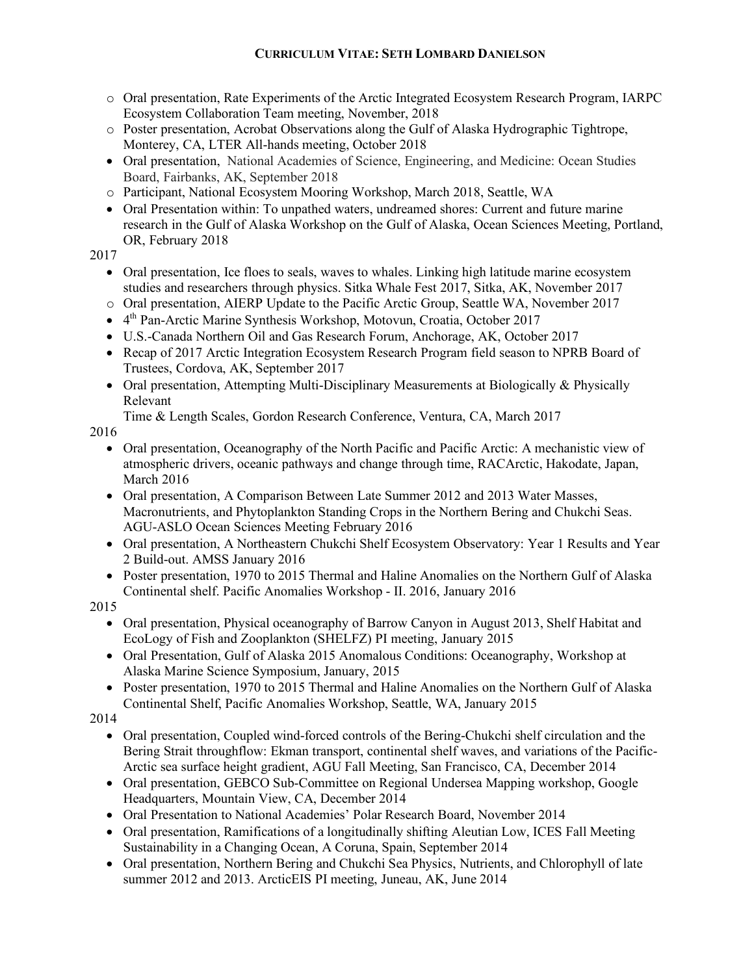- o Oral presentation, Rate Experiments of the Arctic Integrated Ecosystem Research Program, IARPC Ecosystem Collaboration Team meeting, November, 2018
- o Poster presentation, Acrobat Observations along the Gulf of Alaska Hydrographic Tightrope, Monterey, CA, LTER All-hands meeting, October 2018
- Oral presentation, National Academies of Science, Engineering, and Medicine: Ocean Studies Board, Fairbanks, AK, September 2018
- o Participant, National Ecosystem Mooring Workshop, March 2018, Seattle, WA
- Oral Presentation within: To unpathed waters, undreamed shores: Current and future marine research in the Gulf of Alaska Workshop on the Gulf of Alaska, Ocean Sciences Meeting, Portland, OR, February 2018

2017

- Oral presentation, Ice floes to seals, waves to whales. Linking high latitude marine ecosystem studies and researchers through physics. Sitka Whale Fest 2017, Sitka, AK, November 2017
- o Oral presentation, AIERP Update to the Pacific Arctic Group, Seattle WA, November 2017
- 4th Pan-Arctic Marine Synthesis Workshop, Motovun, Croatia, October 2017
- U.S.-Canada Northern Oil and Gas Research Forum, Anchorage, AK, October 2017
- Recap of 2017 Arctic Integration Ecosystem Research Program field season to NPRB Board of Trustees, Cordova, AK, September 2017
- Oral presentation, Attempting Multi-Disciplinary Measurements at Biologically & Physically Relevant

Time & Length Scales, Gordon Research Conference, Ventura, CA, March 2017

2016

- Oral presentation, Oceanography of the North Pacific and Pacific Arctic: A mechanistic view of atmospheric drivers, oceanic pathways and change through time, RACArctic, Hakodate, Japan, March 2016
- Oral presentation, A Comparison Between Late Summer 2012 and 2013 Water Masses, Macronutrients, and Phytoplankton Standing Crops in the Northern Bering and Chukchi Seas. AGU-ASLO Ocean Sciences Meeting February 2016
- Oral presentation, A Northeastern Chukchi Shelf Ecosystem Observatory: Year 1 Results and Year 2 Build-out. AMSS January 2016
- Poster presentation, 1970 to 2015 Thermal and Haline Anomalies on the Northern Gulf of Alaska Continental shelf. Pacific Anomalies Workshop - II. 2016, January 2016

2015

- Oral presentation, Physical oceanography of Barrow Canyon in August 2013, Shelf Habitat and EcoLogy of Fish and Zooplankton (SHELFZ) PI meeting, January 2015
- Oral Presentation, Gulf of Alaska 2015 Anomalous Conditions: Oceanography, Workshop at Alaska Marine Science Symposium, January, 2015
- Poster presentation, 1970 to 2015 Thermal and Haline Anomalies on the Northern Gulf of Alaska Continental Shelf, Pacific Anomalies Workshop, Seattle, WA, January 2015

- Oral presentation, Coupled wind-forced controls of the Bering-Chukchi shelf circulation and the Bering Strait throughflow: Ekman transport, continental shelf waves, and variations of the Pacific-Arctic sea surface height gradient, AGU Fall Meeting, San Francisco, CA, December 2014
- Oral presentation, GEBCO Sub-Committee on Regional Undersea Mapping workshop, Google Headquarters, Mountain View, CA, December 2014
- Oral Presentation to National Academies' Polar Research Board, November 2014
- Oral presentation, Ramifications of a longitudinally shifting Aleutian Low, ICES Fall Meeting Sustainability in a Changing Ocean, A Coruna, Spain, September 2014
- Oral presentation, Northern Bering and Chukchi Sea Physics, Nutrients, and Chlorophyll of late summer 2012 and 2013. ArcticEIS PI meeting, Juneau, AK, June 2014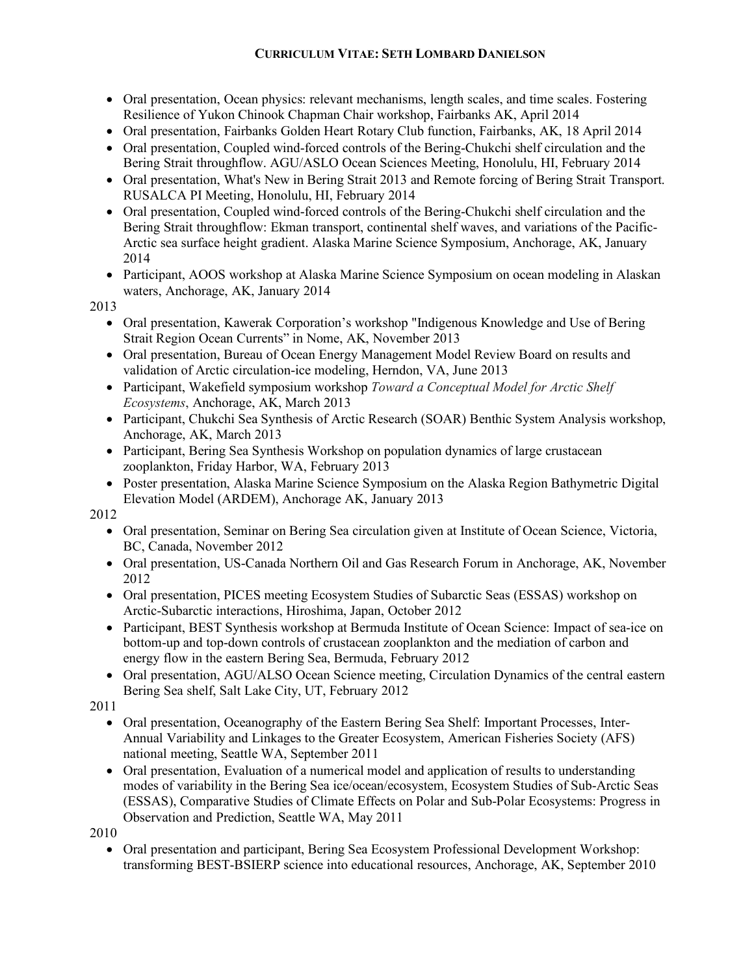- Oral presentation, Ocean physics: relevant mechanisms, length scales, and time scales. Fostering Resilience of Yukon Chinook Chapman Chair workshop, Fairbanks AK, April 2014
- Oral presentation, Fairbanks Golden Heart Rotary Club function, Fairbanks, AK, 18 April 2014
- Oral presentation, Coupled wind-forced controls of the Bering-Chukchi shelf circulation and the Bering Strait throughflow. AGU/ASLO Ocean Sciences Meeting, Honolulu, HI, February 2014
- Oral presentation, What's New in Bering Strait 2013 and Remote forcing of Bering Strait Transport. RUSALCA PI Meeting, Honolulu, HI, February 2014
- Oral presentation, Coupled wind-forced controls of the Bering-Chukchi shelf circulation and the Bering Strait throughflow: Ekman transport, continental shelf waves, and variations of the Pacific-Arctic sea surface height gradient. Alaska Marine Science Symposium, Anchorage, AK, January 2014
- Participant, AOOS workshop at Alaska Marine Science Symposium on ocean modeling in Alaskan waters, Anchorage, AK, January 2014

2013

- Oral presentation, Kawerak Corporation's workshop "Indigenous Knowledge and Use of Bering Strait Region Ocean Currents" in Nome, AK, November 2013
- Oral presentation, Bureau of Ocean Energy Management Model Review Board on results and validation of Arctic circulation-ice modeling, Herndon, VA, June 2013
- Participant, Wakefield symposium workshop *Toward a Conceptual Model for Arctic Shelf Ecosystems*, Anchorage, AK, March 2013
- Participant, Chukchi Sea Synthesis of Arctic Research (SOAR) Benthic System Analysis workshop, Anchorage, AK, March 2013
- Participant, Bering Sea Synthesis Workshop on population dynamics of large crustacean zooplankton, Friday Harbor, WA, February 2013
- Poster presentation, Alaska Marine Science Symposium on the Alaska Region Bathymetric Digital Elevation Model (ARDEM), Anchorage AK, January 2013

2012

- Oral presentation, Seminar on Bering Sea circulation given at Institute of Ocean Science, Victoria, BC, Canada, November 2012
- Oral presentation, US-Canada Northern Oil and Gas Research Forum in Anchorage, AK, November 2012
- Oral presentation, PICES meeting Ecosystem Studies of Subarctic Seas (ESSAS) workshop on Arctic-Subarctic interactions, Hiroshima, Japan, October 2012
- Participant, BEST Synthesis workshop at Bermuda Institute of Ocean Science: Impact of sea-ice on bottom-up and top-down controls of crustacean zooplankton and the mediation of carbon and energy flow in the eastern Bering Sea, Bermuda, February 2012
- Oral presentation, AGU/ALSO Ocean Science meeting, Circulation Dynamics of the central eastern Bering Sea shelf, Salt Lake City, UT, February 2012

2011

- Oral presentation, Oceanography of the Eastern Bering Sea Shelf: Important Processes, Inter-Annual Variability and Linkages to the Greater Ecosystem, American Fisheries Society (AFS) national meeting, Seattle WA, September 2011
- Oral presentation, Evaluation of a numerical model and application of results to understanding modes of variability in the Bering Sea ice/ocean/ecosystem, Ecosystem Studies of Sub-Arctic Seas (ESSAS), Comparative Studies of Climate Effects on Polar and Sub-Polar Ecosystems: Progress in Observation and Prediction, Seattle WA, May 2011

2010

• Oral presentation and participant, Bering Sea Ecosystem Professional Development Workshop: transforming BEST-BSIERP science into educational resources, Anchorage, AK, September 2010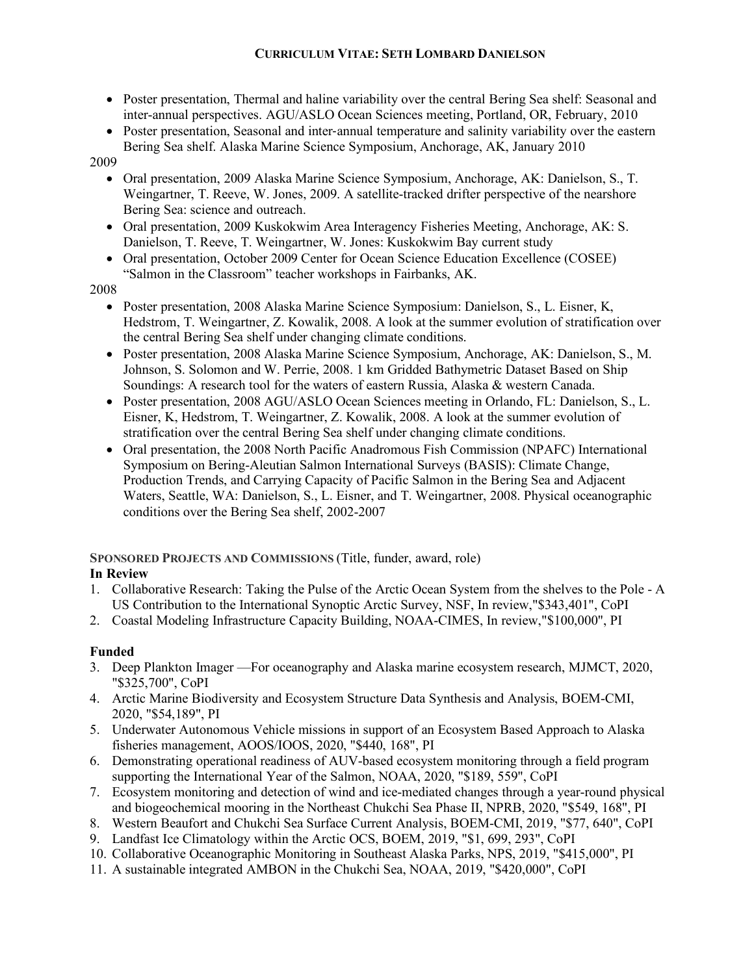- Poster presentation, Thermal and haline variability over the central Bering Sea shelf: Seasonal and inter-annual perspectives. AGU/ASLO Ocean Sciences meeting, Portland, OR, February, 2010
- Poster presentation, Seasonal and inter-annual temperature and salinity variability over the eastern Bering Sea shelf. Alaska Marine Science Symposium, Anchorage, AK, January 2010

2009

- Oral presentation, 2009 Alaska Marine Science Symposium, Anchorage, AK: Danielson, S., T. Weingartner, T. Reeve, W. Jones, 2009. A satellite-tracked drifter perspective of the nearshore Bering Sea: science and outreach.
- Oral presentation, 2009 Kuskokwim Area Interagency Fisheries Meeting, Anchorage, AK: S. Danielson, T. Reeve, T. Weingartner, W. Jones: Kuskokwim Bay current study
- Oral presentation, October 2009 Center for Ocean Science Education Excellence (COSEE) "Salmon in the Classroom" teacher workshops in Fairbanks, AK.

### 2008

- Poster presentation, 2008 Alaska Marine Science Symposium: Danielson, S., L. Eisner, K, Hedstrom, T. Weingartner, Z. Kowalik, 2008. A look at the summer evolution of stratification over the central Bering Sea shelf under changing climate conditions.
- Poster presentation, 2008 Alaska Marine Science Symposium, Anchorage, AK: Danielson, S., M. Johnson, S. Solomon and W. Perrie, 2008. 1 km Gridded Bathymetric Dataset Based on Ship Soundings: A research tool for the waters of eastern Russia, Alaska & western Canada.
- Poster presentation, 2008 AGU/ASLO Ocean Sciences meeting in Orlando, FL: Danielson, S., L. Eisner, K, Hedstrom, T. Weingartner, Z. Kowalik, 2008. A look at the summer evolution of stratification over the central Bering Sea shelf under changing climate conditions.
- Oral presentation, the 2008 North Pacific Anadromous Fish Commission (NPAFC) International Symposium on Bering-Aleutian Salmon International Surveys (BASIS): Climate Change, Production Trends, and Carrying Capacity of Pacific Salmon in the Bering Sea and Adjacent Waters, Seattle, WA: Danielson, S., L. Eisner, and T. Weingartner, 2008. Physical oceanographic conditions over the Bering Sea shelf, 2002-2007

## **SPONSORED PROJECTS AND COMMISSIONS** (Title, funder, award, role)

## **In Review**

- 1. Collaborative Research: Taking the Pulse of the Arctic Ocean System from the shelves to the Pole A US Contribution to the International Synoptic Arctic Survey, NSF, In review,"\$343,401", CoPI
- 2. Coastal Modeling Infrastructure Capacity Building, NOAA-CIMES, In review,"\$100,000", PI

# **Funded**

- 3. Deep Plankton Imager —For oceanography and Alaska marine ecosystem research, MJMCT, 2020, "\$325,700", CoPI
- 4. Arctic Marine Biodiversity and Ecosystem Structure Data Synthesis and Analysis, BOEM-CMI, 2020, "\$54,189", PI
- 5. Underwater Autonomous Vehicle missions in support of an Ecosystem Based Approach to Alaska fisheries management, AOOS/IOOS, 2020, "\$440, 168", PI
- 6. Demonstrating operational readiness of AUV-based ecosystem monitoring through a field program supporting the International Year of the Salmon, NOAA, 2020, "\$189, 559", CoPI
- 7. Ecosystem monitoring and detection of wind and ice-mediated changes through a year-round physical and biogeochemical mooring in the Northeast Chukchi Sea Phase II, NPRB, 2020, "\$549, 168", PI
- 8. Western Beaufort and Chukchi Sea Surface Current Analysis, BOEM-CMI, 2019, "\$77, 640", CoPI
- 9. Landfast Ice Climatology within the Arctic OCS, BOEM, 2019, "\$1, 699, 293", CoPI
- 10. Collaborative Oceanographic Monitoring in Southeast Alaska Parks, NPS, 2019, "\$415,000", PI
- 11. A sustainable integrated AMBON in the Chukchi Sea, NOAA, 2019, "\$420,000", CoPI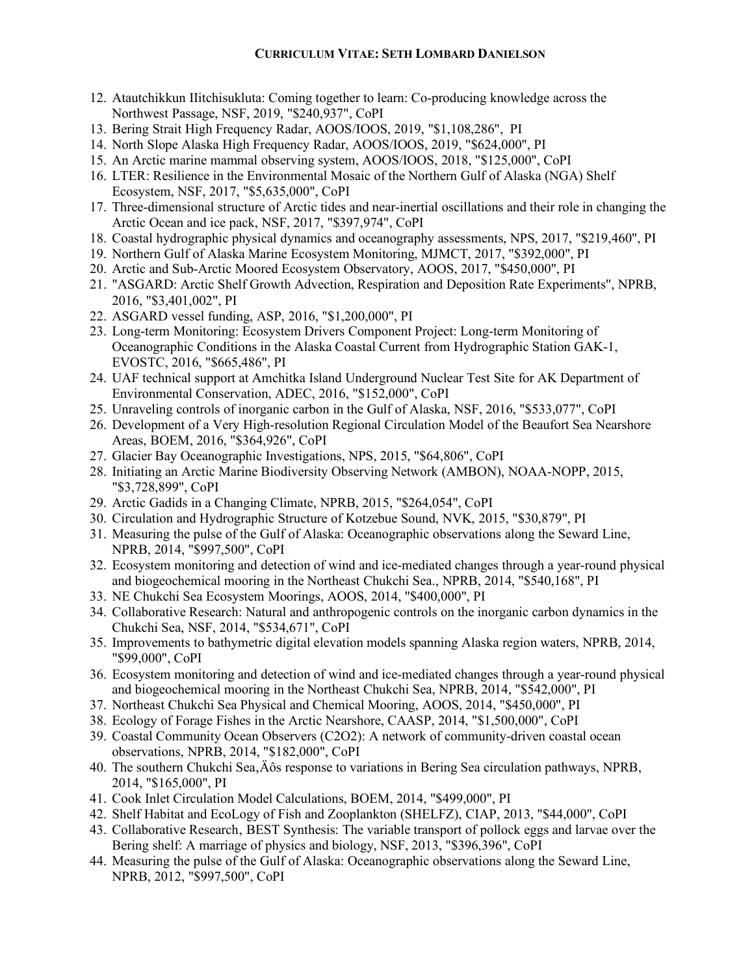- 12. Atautchikkun IIitchisukluta: Coming together to learn: Co-producing knowledge across the Northwest Passage, NSF, 2019, "\$240,937", CoPI
- 13. Bering Strait High Frequency Radar, AOOS/IOOS, 2019, "\$1,108,286", PI
- 14. North Slope Alaska High Frequency Radar, AOOS/IOOS, 2019, "\$624,000", PI
- 15. An Arctic marine mammal observing system, AOOS/IOOS, 2018, "\$125,000", CoPI
- 16. LTER: Resilience in the Environmental Mosaic of the Northern Gulf of Alaska (NGA) Shelf Ecosystem, NSF, 2017, "\$5,635,000", CoPI
- 17. Three-dimensional structure of Arctic tides and near-inertial oscillations and their role in changing the Arctic Ocean and ice pack, NSF, 2017, "\$397,974", CoPI
- 18. Coastal hydrographic physical dynamics and oceanography assessments, NPS, 2017, "\$219,460", PI
- 19. Northern Gulf of Alaska Marine Ecosystem Monitoring, MJMCT, 2017, "\$392,000", PI
- 20. Arctic and Sub-Arctic Moored Ecosystem Observatory, AOOS, 2017, "\$450,000", PI
- 21. "ASGARD: Arctic Shelf Growth Advection, Respiration and Deposition Rate Experiments", NPRB, 2016, "\$3,401,002", PI
- 22. ASGARD vessel funding, ASP, 2016, "\$1,200,000", PI
- 23. Long-term Monitoring: Ecosystem Drivers Component Project: Long-term Monitoring of Oceanographic Conditions in the Alaska Coastal Current from Hydrographic Station GAK-1, EVOSTC, 2016, "\$665,486", PI
- 24. UAF technical support at Amchitka Island Underground Nuclear Test Site for AK Department of Environmental Conservation, ADEC, 2016, "\$152,000", CoPI
- 25. Unraveling controls of inorganic carbon in the Gulf of Alaska, NSF, 2016, "\$533,077", CoPI
- 26. Development of a Very High-resolution Regional Circulation Model of the Beaufort Sea Nearshore Areas, BOEM, 2016, "\$364,926", CoPI
- 27. Glacier Bay Oceanographic Investigations, NPS, 2015, "\$64,806", CoPI
- 28. Initiating an Arctic Marine Biodiversity Observing Network (AMBON), NOAA-NOPP, 2015, "\$3,728,899", CoPI
- 29. Arctic Gadids in a Changing Climate, NPRB, 2015, "\$264,054", CoPI
- 30. Circulation and Hydrographic Structure of Kotzebue Sound, NVK, 2015, "\$30,879", PI
- 31. Measuring the pulse of the Gulf of Alaska: Oceanographic observations along the Seward Line, NPRB, 2014, "\$997,500", CoPI
- 32. Ecosystem monitoring and detection of wind and ice-mediated changes through a year-round physical and biogeochemical mooring in the Northeast Chukchi Sea., NPRB, 2014, "\$540,168", PI
- 33. NE Chukchi Sea Ecosystem Moorings, AOOS, 2014, "\$400,000", PI
- 34. Collaborative Research: Natural and anthropogenic controls on the inorganic carbon dynamics in the Chukchi Sea, NSF, 2014, "\$534,671", CoPI
- 35. Improvements to bathymetric digital elevation models spanning Alaska region waters, NPRB, 2014, "\$99,000", CoPI
- 36. Ecosystem monitoring and detection of wind and ice-mediated changes through a year-round physical and biogeochemical mooring in the Northeast Chukchi Sea, NPRB, 2014, "\$542,000", PI
- 37. Northeast Chukchi Sea Physical and Chemical Mooring, AOOS, 2014, "\$450,000", PI
- 38. Ecology of Forage Fishes in the Arctic Nearshore, CAASP, 2014, "\$1,500,000", CoPI
- 39. Coastal Community Ocean Observers (C2O2): A network of community-driven coastal ocean observations, NPRB, 2014, "\$182,000", CoPI
- 40. The southern Chukchi Sea,  $\angle$  A $\hat{o}$ s response to variations in Bering Sea circulation pathways, NPRB, 2014, "\$165,000", PI
- 41. Cook Inlet Circulation Model Calculations, BOEM, 2014, "\$499,000", PI
- 42. Shelf Habitat and EcoLogy of Fish and Zooplankton (SHELFZ), CIAP, 2013, "\$44,000", CoPI
- 43. Collaborative Research' BEST Synthesis: The variable transport of pollock eggs and larvae over the Bering shelf: A marriage of physics and biology, NSF, 2013, "\$396,396", CoPI
- 44. Measuring the pulse of the Gulf of Alaska: Oceanographic observations along the Seward Line, NPRB, 2012, "\$997,500", CoPI